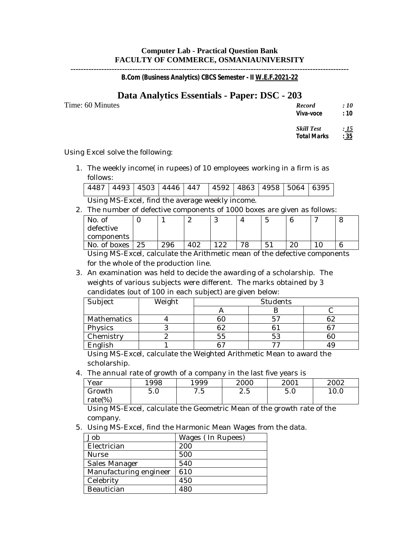### **Computer Lab - Practical Question Bank FACULTY OF COMMERCE, OSMANIAUNIVERSITY**

**------------------------------------------------------------------------------------------------------------** *B.Com (Business Analytics) CBCS Semester - II W.E.F.2021-22*

# **Data Analytics Essentials - Paper: DSC - 203**

Time: 60 Minutes

| <b>Record</b> | : 10 |
|---------------|------|
| Viva-voce     | :10  |

 $Skill Test$ *Total Marks : 35*

Using Excel solve the following:

1. The weekly income( in rupees) of 10 employees working in a firm is as follows:

|                                                 |  |  |  |  |  |  |  | 4487   4493   4503   4446   447   4592   4863   4958   5064   6395 |  |  |
|-------------------------------------------------|--|--|--|--|--|--|--|--------------------------------------------------------------------|--|--|
| Using MS-Excel, find the average weekly income. |  |  |  |  |  |  |  |                                                                    |  |  |

2. The number of defective components of 1000 boxes are given as follows:

|                  |     |     |   |                      |         | . . |    |  |
|------------------|-----|-----|---|----------------------|---------|-----|----|--|
| No. of           |     |     | ∼ | ັ                    |         | J   |    |  |
| defective        |     |     |   |                      |         |     |    |  |
| components       |     |     |   |                      |         |     |    |  |
| No. of boxes     | 25  | 296 |   | າາ<br>$\sim\!\!\sim$ | ൗറ<br>O | 51  | WΩ |  |
| ___<br>_ _ _ _ _ | . . |     | . |                      |         | .   |    |  |

Using MS-Excel, calculate the Arithmetic mean of the defective components for the whole of the production line.

3. An examination was held to decide the awarding of a scholarship. The weights of various subjects were different. The marks obtained by 3 candidates (out of 100 in each subject) are given below:

| Subject     | Weight | Students |        |    |  |  |  |
|-------------|--------|----------|--------|----|--|--|--|
|             |        |          |        |    |  |  |  |
| Mathematics |        |          |        | 62 |  |  |  |
| Physics     |        | 62       |        | nη |  |  |  |
| Chemistry   | ∼      |          | 53     |    |  |  |  |
| English     |        | $\sim$   | $\sim$ |    |  |  |  |

Using MS-Excel, calculate the Weighted Arithmetic Mean to award the scholarship.

4. The annual rate of growth of a company in the last five years is

|             | $\tilde{\phantom{a}}$ |                                           | . .            |      |      |
|-------------|-----------------------|-------------------------------------------|----------------|------|------|
| Year        | 1998                  | 1999                                      | 2000           | 2001 | 2002 |
| Growth      | 5.0                   | $\sim$<br>$\overline{\phantom{a}}$<br>. ب | -<br>∽<br>د. ۵ | 5.0  | 10.0 |
| rate $(\%)$ |                       |                                           |                |      |      |

Using MS-Excel, calculate the Geometric Mean of the growth rate of the company.

5. Using MS-Excel, find the Harmonic Mean Wages from the data.

| Job                    | Wages (In Rupees) |
|------------------------|-------------------|
| Electrician            | 200               |
| Nurse                  | 500               |
| Sales Manager          | 540               |
| Manufacturing engineer | 610               |
| Celebrity              | 450               |
| Beautician             | 480               |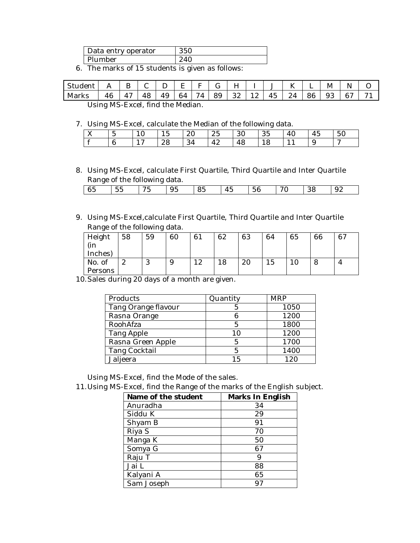| Data entry operator | 350 |  |  |  |
|---------------------|-----|--|--|--|
| Plumber             |     |  |  |  |
| --                  |     |  |  |  |

6. The marks of 15 students is given as follows:

|       | $\mathbf{1}$                    | B          |    | ◡  | E  | $F \cup$<br>л. | $\overline{G}$ | H    | л. |    | K  |     | M  | N  |        |
|-------|---------------------------------|------------|----|----|----|----------------|----------------|------|----|----|----|-----|----|----|--------|
| Marks | 46                              | $\Delta$ 7 | 48 | 49 | 64 | 74             | 89             | 32 l | 12 | 45 | 24 | -86 | 93 | 67 | $\sim$ |
|       | Loing MC Errorl find the Median |            |    |    |    |                |                |      |    |    |    |     |    |    |        |

Using MS-Excel, find the Median.

7. Using MS-Excel, calculate the Median of the following data.

| ັ                         |             |               |              | ັ  |    |    |    |    |          |                       |  |
|---------------------------|-------------|---------------|--------------|----|----|----|----|----|----------|-----------------------|--|
| $\mathbf{v}$<br>$\Lambda$ | -<br>∽<br>ັ | $\sim$<br>1 V | $\sim$<br>15 | 20 | 25 | 30 | 35 | 40 | 45       | 50                    |  |
|                           | 6           | $\sim$        | 28           | 34 | 42 | 48 | 18 |    | - Q<br>ັ | $\tilde{\phantom{a}}$ |  |

8. Using MS-Excel, calculate First Quartile, Third Quartile and Inter Quartile Range of the following data.

| 65 | 55 | ית די<br>ູ | 95 | 85 | 45 | 56 | 70 | 38 | 92 |
|----|----|------------|----|----|----|----|----|----|----|
|    |    |            |    |    |    |    |    |    |    |

9. Using MS-Excel,calculate First Quartile, Third Quartile and Inter Quartile Range of the following data.

| Height  | 58     | 59            | 60 | 61        | 62             | 63 | 64 | 65 | 66 | 67 |
|---------|--------|---------------|----|-----------|----------------|----|----|----|----|----|
| (in     |        |               |    |           |                |    |    |    |    |    |
| Inches) |        |               |    |           |                |    |    |    |    |    |
| No. of  | ິ<br>∼ | $\Omega$<br>◡ | 9  | ה ו<br>⊥∼ | $\Omega$<br>18 | 20 | 15 |    |    |    |
| Persons |        |               |    |           |                |    |    |    |    |    |

10.Sales during 20 days of a month are given.

| Products             | Quantity | <b>MRP</b> |
|----------------------|----------|------------|
| Tang Orange flavour  |          | 1050       |
| Rasna Orange         |          | 1200       |
| RoohAfza             | 5        | 1800       |
| <b>Tang Apple</b>    | 10       | 1200       |
| Rasna Green Apple    | 5        | 1700       |
| <b>Tang Cocktail</b> | 5        | 1400       |
| Jaljeera             | 15       | 120        |

Using MS-Excel, find the Mode of the sales.

11.Using MS-Excel, find the Range of the marks of the English subject.

| Name of the student | Marks In English |
|---------------------|------------------|
| Anuradha            | 34               |
| Siddu K             | 29               |
| Shyam B             | 91               |
| Riya S              | 70               |
| Manga K             | 50               |
| Somya G             | 67               |
| Raju T              | 9                |
| Jai L               | 88               |
| Kalyani A           | 65               |
| Sam Joseph          | 97               |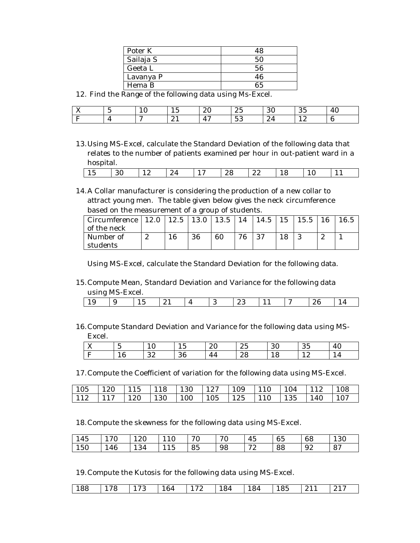| Poter K   |    |
|-----------|----|
| Sailaja S |    |
| Geeta L   | 56 |
| Lavanya P | 46 |
| Hema B    | RF |

12. Find the Range of the following data using Ms-Excel.

| $ -$<br><b>ZX</b> | - | $\sim$<br>⊥∪ | -<br>⊥◡  | ററ<br>$\sim$ | つに<br>ົ້                            | ΩC<br>υu | $\sim$ $\sim$<br>∽<br>◡◡ | $\sqrt{2}$<br>40 |
|-------------------|---|--------------|----------|--------------|-------------------------------------|----------|--------------------------|------------------|
| $\sim$            |   | $\sim$       | $\sim$ 1 | $\Delta$ ~   | $\overline{\phantom{a}}$<br>∽<br>◡◡ | $\sim$ T | ⊥∼<br>--                 |                  |

13.Using MS-Excel, calculate the Standard Deviation of the following data that relates to the number of patients examined per hour in out-patient ward in a hospital.

| $\epsilon$<br>. .<br>.<br>$\sim$ T<br>∼<br>$\sim\sim$<br>л.<br>. .<br>--<br>--<br>$\sim$ |
|------------------------------------------------------------------------------------------|
|------------------------------------------------------------------------------------------|

14.A Collar manufacturer is considering the production of a new collar to attract young men. The table given below gives the neck circumference based on the measurement of a group of students.

| Circumference   $12.0$ |   |    | $12.5$   13.0 | 13.5 | 14 | $\vert$ 14.5 | 15  | 15.5 |    |  |
|------------------------|---|----|---------------|------|----|--------------|-----|------|----|--|
| of the neck            |   |    |               |      |    |              |     |      |    |  |
| Number of              | ے | 16 | 36            | 60   | 7R | ດາ           | 1 Q |      | ست |  |
| students               |   |    |               |      |    |              |     |      |    |  |

Using MS-Excel, calculate the Standard Deviation for the following data.

15.Compute Mean, Standard Deviation and Variance for the following data using MS-Excel.

|  | ◡ | ~ - |  | ∼∾ | -- | ~ |  |
|--|---|-----|--|----|----|---|--|
|  |   |     |  |    |    |   |  |

16.Compute Standard Deviation and Variance for the following data using MS-Excel.

| $\mathbf{v}$<br>$\Lambda$<br>$ -$ | -<br>$\cdot$ | . .      | $\overline{\phantom{0}}$<br>∽<br>ᅶ | Ω.<br>$\sim$ | $\Omega$<br>ົ | ΩΩ<br>vv | $\sim$ $\sim$<br>, L<br>ഄഄ | 40 |
|-----------------------------------|--------------|----------|------------------------------------|--------------|---------------|----------|----------------------------|----|
|                                   | ∽            | ററ<br>ັ້ | ΩΩ<br>υv                           | л<br>~≖.     | 28            | C<br>TÕ  | ᅩ~                         |    |

17.Compute the Coefficient of variation for the following data using MS-Excel.

|  |  |  |  | 105   120   115   118   130   127   109   110   104   112   108 |  |
|--|--|--|--|-----------------------------------------------------------------|--|
|  |  |  |  | 112   117   120   130   100   105   125   110   135   140   107 |  |

18.Compute the skewness for the following data using MS-Excel.

| 145 | 70  | 120 | 110                           | 70 | 70<br>ึ∪ | -<br>45  | 65 | 68 | 130 |
|-----|-----|-----|-------------------------------|----|----------|----------|----|----|-----|
| 150 | 146 | 134 | $\sim$<br>$\sqrt{2}$<br>1 T O | 85 | 98       | 70<br>ົ້ | 88 | 92 | 87  |

19.Compute the Kutosis for the following data using MS-Excel.

| 188   178   173   164   172   184   184   185   211  <br>217 |  |
|--------------------------------------------------------------|--|
|--------------------------------------------------------------|--|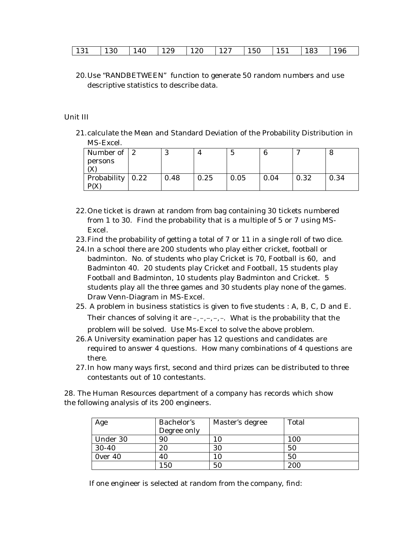| 131<br>196<br>150<br>130<br>129<br>127<br>151<br>120<br>140<br>183 |
|--------------------------------------------------------------------|
|--------------------------------------------------------------------|

20.Use "RANDBETWEEN" function to generate 50 random numbers and use descriptive statistics to describe data.

#### Unit III

21.calculate the Mean and Standard Deviation of the Probability Distribution in MS-Excel.

| Number of $ 2$                         |      |      | C    |      |      |      |
|----------------------------------------|------|------|------|------|------|------|
| persons                                |      |      |      |      |      |      |
|                                        |      |      |      |      |      |      |
| Probability $\vert 0.22 \vert$<br>P(X) | 0.48 | 0.25 | 0.05 | 0.04 | 0.32 | 0.34 |

- 22.One ticket is drawn at random from bag containing 30 tickets numbered from 1 to 30. Find the probability that is a multiple of 5 or 7 using MS-Excel.
- 23.Find the probability of getting a total of 7 or 11 in a single roll of two dice.
- 24.In a school there are 200 students who play either cricket, football or badminton. No. of students who play Cricket is 70, Football is 60, and Badminton 40. 20 students play Cricket and Football, 15 students play Football and Badminton, 10 students play Badminton and Cricket. 5 students play all the three games and 30 students play none of the games. Draw Venn-Diagram in MS-Excel.
- 25. A problem in business statistics is given to five students : A, B, C, D and E. Their chances of solving it are  $-,-,-,-$ . What is the probability that the problem will be solved. Use Ms-Excel to solve the above problem.
- 26.A University examination paper has 12 questions and candidates are required to answer 4 questions. How many combinations of 4 questions are there.
- 27.In how many ways first, second and third prizes can be distributed to three contestants out of 10 contestants.

28. The Human Resources department of a company has records which show the following analysis of its 200 engineers.

| Age       | Bachelor's  | Master's degree | Total |
|-----------|-------------|-----------------|-------|
|           | Degree only |                 |       |
| Under 30  | 90          | 10              | 100   |
| $30 - 40$ | 20          | 30              | 50    |
| Over 40   | 40          | 10              | 50    |
|           | 150         | 50              | 200   |

If one engineer is selected at random from the company, find: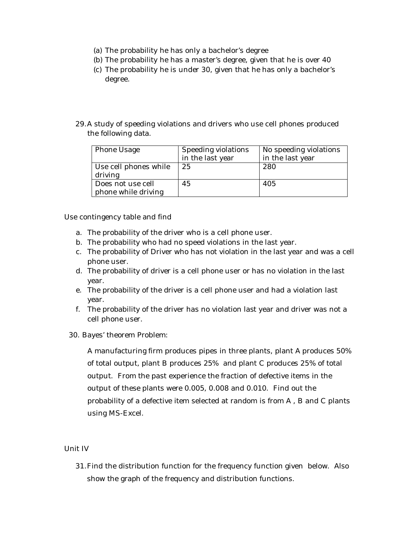- (a) The probability he has only a bachelor's degree
- (b) The probability he has a master's degree, given that he is over 40
- (c) The probability he is under 30, given that he has only a bachelor's degree.
- 29.A study of speeding violations and drivers who use cell phones produced the following data.

| <b>Phone Usage</b>                       | Speeding violations<br>in the last year | No speeding violations<br>in the last year |
|------------------------------------------|-----------------------------------------|--------------------------------------------|
| Use cell phones while<br>driving         | 25                                      | 280                                        |
| Does not use cell<br>phone while driving | 45                                      | 405                                        |

Use contingency table and find

- a. The probability of the driver who is a cell phone user.
- b. The probability who had no speed violations in the last year.
- c. The probability of Driver who has not violation in the last year and was a cell phone user.
- d. The probability of driver is a cell phone user or has no violation in the last year.
- e. The probability of the driver is a cell phone user and had a violation last year.
- f. The probability of the driver has no violation last year and driver was not a cell phone user.
- 30. Bayes' theorem Problem:

A manufacturing firm produces pipes in three plants, plant A produces 50% of total output, plant B produces 25% and plant C produces 25% of total output. From the past experience the fraction of defective items in the output of these plants were 0.005, 0.008 and 0.010. Find out the probability of a defective item selected at random is from A , B and C plants using MS-Excel.

#### Unit IV

31.Find the distribution function for the frequency function given below. Also show the graph of the frequency and distribution functions.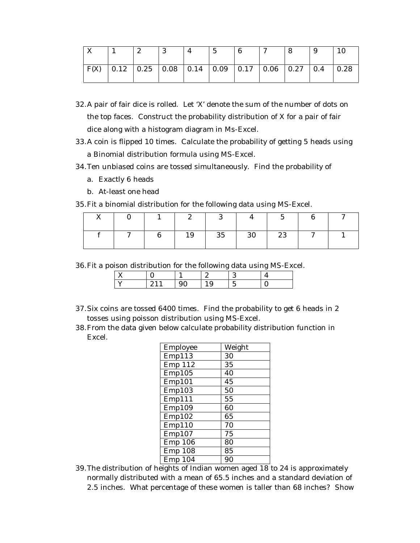|  | ົ<br>تما | . ୧ |                                                                             | $\mathcal{L}$ |  |  |
|--|----------|-----|-----------------------------------------------------------------------------|---------------|--|--|
|  |          |     | $F(X)$   0.12   0.25   0.08   0.14   0.09   0.17   0.06   0.27   0.4   0.28 |               |  |  |

- 32.A pair of fair dice is rolled. Let 'X' denote the sum of the number of dots on the top faces. Construct the probability distribution of X for a pair of fair dice along with a histogram diagram in Ms-Excel.
- 33.A coin is flipped 10 times. Calculate the probability of getting 5 heads using a Binomial distribution formula using MS-Excel.
- 34.Ten unbiased coins are tossed simultaneously. Find the probability of
	- a. Exactly 6 heads
	- b. At-least one head

35.Fit a binomial distribution for the following data using MS-Excel.

|        | ∼  |    |    |          |        | $\sim$ |
|--------|----|----|----|----------|--------|--------|
| $\sim$ | 19 | 35 | 30 | 23<br>ົ້ | $\sim$ |        |

36.Fit a poison distribution for the following data using MS-Excel.

- 37.Six coins are tossed 6400 times. Find the probability to get 6 heads in 2 tosses using poisson distribution using MS-Excel.
- 38.From the data given below calculate probability distribution function in Excel.

| Employee       | Weight |
|----------------|--------|
| Emp113         | 30     |
| Emp 112        | 35     |
| Emp105         | 40     |
| Emp101         | 45     |
| Emp103         | 50     |
| Emp111         | 55     |
| Emp109         | 60     |
| Emp102         | 65     |
| Emp110         | 70     |
| Emp107         | 75     |
| <b>Emp 106</b> | 80     |
| <b>Emp 108</b> | 85     |
| <b>Emp 104</b> | 90     |

39.The distribution of heights of Indian women aged 18 to 24 is approximately normally distributed with a mean of 65.5 inches and a standard deviation of 2.5 inches. What percentage of these women is taller than 68 inches? Show